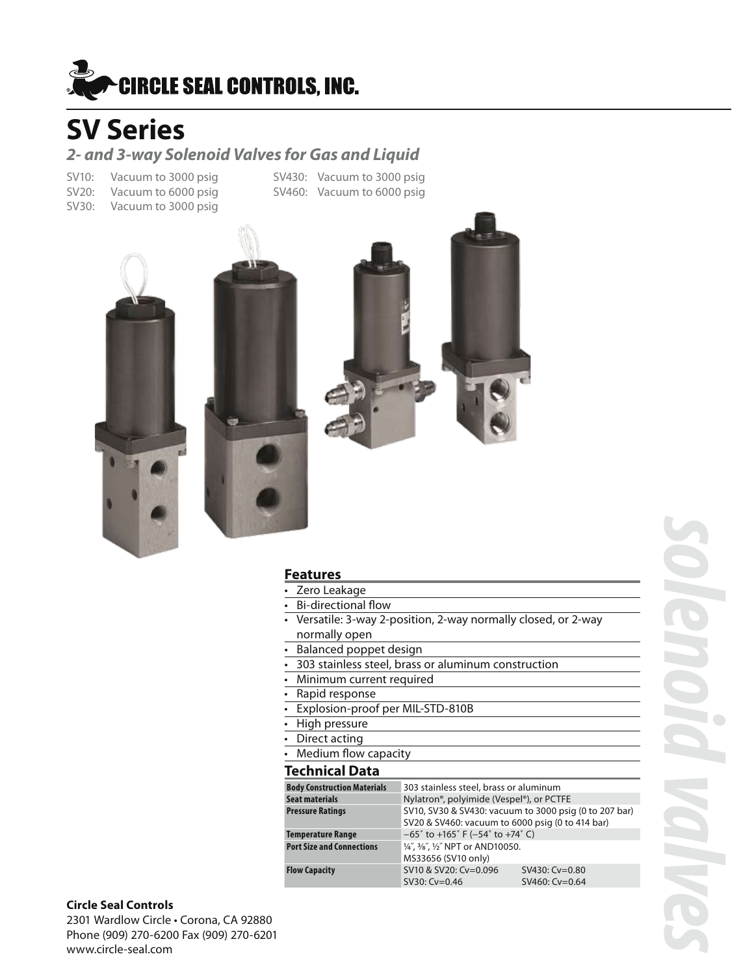

### *2- and 3-way Solenoid Valves for Gas and Liquid*

SV20: Vacuum to 6000 psig SV460: Vacuum to 6000 psig SV30: Vacuum to 3000 psig

SV10: Vacuum to 3000 psig SV430: Vacuum to 3000 psig





### **Features**

- Zero Leakage
- **Bi-directional flow**
- Versatile: 3-way 2-position, 2-way normally closed, or 2-way normally open
- • Balanced poppet design
- 303 stainless steel, brass or aluminum construction
- • Minimum current required
- 
- Rapid response<br>• Explosion-proof **Explosion-proof per MIL-STD-810B**
- High pressure
- Direct acting
- **Medium flow capacity**

### **Technical Data**

| <b>Body Construction Materials</b> | 303 stainless steel, brass or aluminum                                  |                  |  |
|------------------------------------|-------------------------------------------------------------------------|------------------|--|
| Seat materials                     | Nylatron®, polyimide (Vespel®), or PCTFE                                |                  |  |
| <b>Pressure Ratings</b>            | SV10, SV30 & SV430: vacuum to 3000 psig (0 to 207 bar)                  |                  |  |
|                                    | SV20 & SV460: vacuum to 6000 psig (0 to 414 bar)                        |                  |  |
| <b>Temperature Range</b>           | $-65^{\circ}$ to +165 $^{\circ}$ F (-54 $^{\circ}$ to +74 $^{\circ}$ C) |                  |  |
| <b>Port Size and Connections</b>   | 1/4", 3/8", 1/2" NPT or AND10050.                                       |                  |  |
|                                    | MS33656 (SV10 only)                                                     |                  |  |
| <b>Flow Capacity</b>               | SV10 & SV20: Cv=0.096                                                   | $SV430: Cv=0.80$ |  |
|                                    | SV30: Cv=0.46                                                           | SV460: Cv=0.64   |  |

### **Circle Seal Controls**

2301 Wardlow Circle • Corona, CA 92880 Phone (909) 270-6200 Fax (909) 270-6201 www.circle-seal.com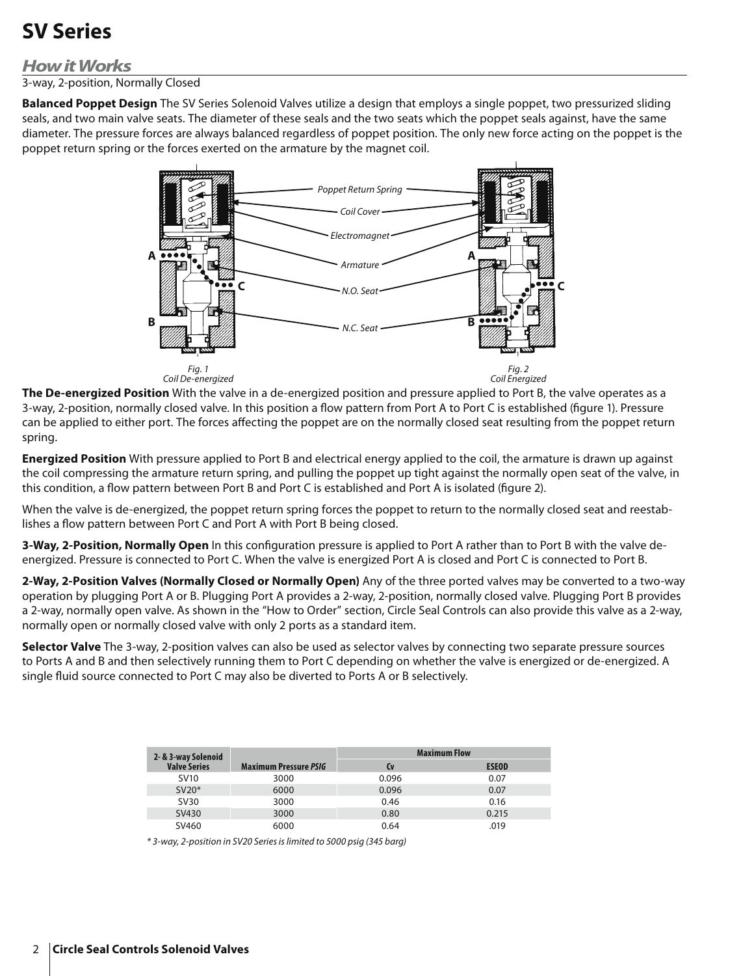### *How it Works*

3-way, 2-position, Normally Closed

**Balanced Poppet Design** The SV Series Solenoid Valves utilize a design that employs a single poppet, two pressurized sliding seals, and two main valve seats. The diameter of these seals and the two seats which the poppet seals against, have the same diameter. The pressure forces are always balanced regardless of poppet position. The only new force acting on the poppet is the poppet return spring or the forces exerted on the armature by the magnet coil.



**The De-energized Position** With the valve in a de-energized position and pressure applied to Port B, the valve operates as a 3-way, 2-position, normally closed valve. In this position a flow pattern from Port A to Port C is established (figure 1). Pressure can be applied to either port. The forces affecting the poppet are on the normally closed seat resulting from the poppet return spring.

**Energized Position** With pressure applied to Port B and electrical energy applied to the coil, the armature is drawn up against the coil compressing the armature return spring, and pulling the poppet up tight against the normally open seat of the valve, in this condition, a flow pattern between Port B and Port C is established and Port A is isolated (figure 2).

When the valve is de-energized, the poppet return spring forces the poppet to return to the normally closed seat and reestablishes a flow pattern between Port C and Port A with Port B being closed.

**3-Way, 2-Position, Normally Open** In this configuration pressure is applied to Port A rather than to Port B with the valve deenergized. Pressure is connected to Port C. When the valve is energized Port A is closed and Port C is connected to Port B.

**2-Way, 2-Position Valves (Normally Closed or Normally Open)** Any of the three ported valves may be converted to a two-way operation by plugging Port A or B. Plugging Port A provides a 2-way, 2-position, normally closed valve. Plugging Port B provides a 2-way, normally open valve. As shown in the "How to Order" section, Circle Seal Controls can also provide this valve as a 2-way, normally open or normally closed valve with only 2 ports as a standard item.

**Selector Valve** The 3-way, 2-position valves can also be used as selector valves by connecting two separate pressure sources to Ports A and B and then selectively running them to Port C depending on whether the valve is energized or de-energized. A single fluid source connected to Port C may also be diverted to Ports A or B selectively.

| 2- & 3-way Solenoid |                              | <b>Maximum Flow</b> |              |
|---------------------|------------------------------|---------------------|--------------|
| <b>Valve Series</b> | <b>Maximum Pressure PSIG</b> | Cv                  | <b>ESEOD</b> |
| <b>SV10</b>         | 3000                         | 0.096               | 0.07         |
| $SV20*$             | 6000                         | 0.096               | 0.07         |
| <b>SV30</b>         | 3000                         | 0.46                | 0.16         |
| SV430               | 3000                         | 0.80                | 0.215        |
| SV460               | 6000                         | 0.64                | .019         |

*\* 3-way, 2-position in SV20 Series is limited to 5000 psig (345 barg)*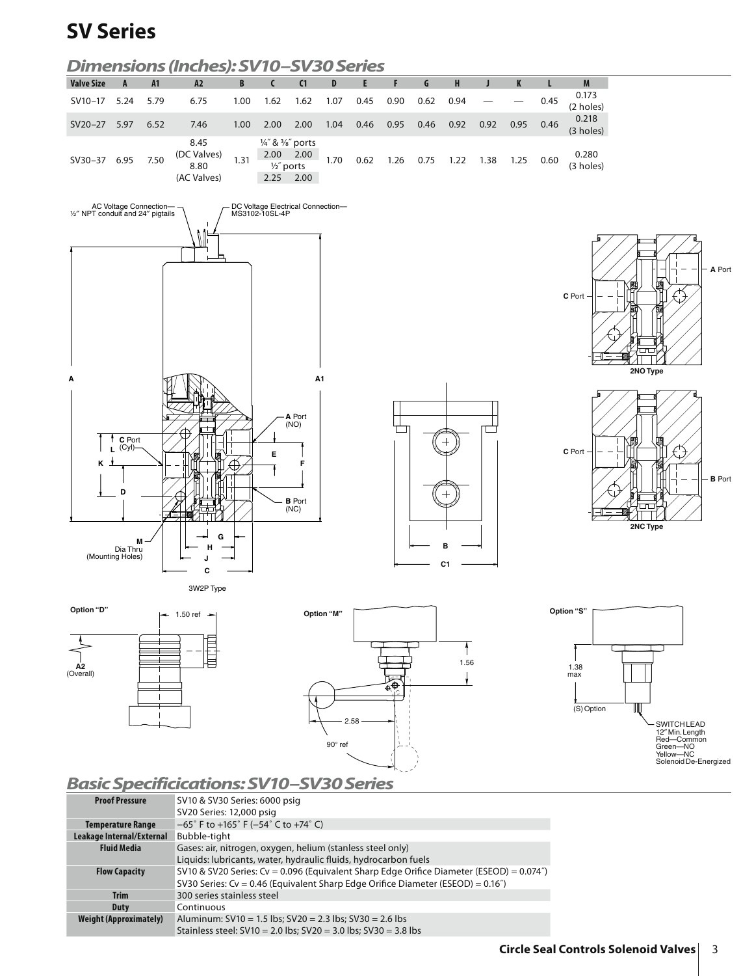







### *Basic Specificications: SV10–SV30 Series*

| <b>Proof Pressure</b>         | SV10 & SV30 Series: 6000 psig                                                                |
|-------------------------------|----------------------------------------------------------------------------------------------|
|                               | SV20 Series: 12,000 psig                                                                     |
| <b>Temperature Range</b>      | $-65^{\circ}$ F to +165 $^{\circ}$ F (-54 $^{\circ}$ C to +74 $^{\circ}$ C)                  |
| Leakage Internal/External     | Bubble-tight                                                                                 |
| <b>Fluid Media</b>            | Gases: air, nitrogen, oxygen, helium (stanless steel only)                                   |
|                               | Liquids: lubricants, water, hydraulic fluids, hydrocarbon fuels                              |
| <b>Flow Capacity</b>          | SV10 & SV20 Series: Cv = 0.096 (Equivalent Sharp Edge Orifice Diameter (ESEOD) = $0.074$ ")  |
|                               | SV30 Series: Cv = 0.46 (Equivalent Sharp Edge Orifice Diameter (ESEOD) = 0.16 <sup>"</sup> ) |
| <b>Trim</b>                   | 300 series stainless steel                                                                   |
| Duty                          | Continuous                                                                                   |
| <b>Weight (Approximately)</b> | Aluminum: $SV10 = 1.5$ lbs; $SV20 = 2.3$ lbs; $SV30 = 2.6$ lbs                               |
|                               | Stainless steel: $SV10 = 2.0$ lbs; $SV20 = 3.0$ lbs; $SV30 = 3.8$ lbs                        |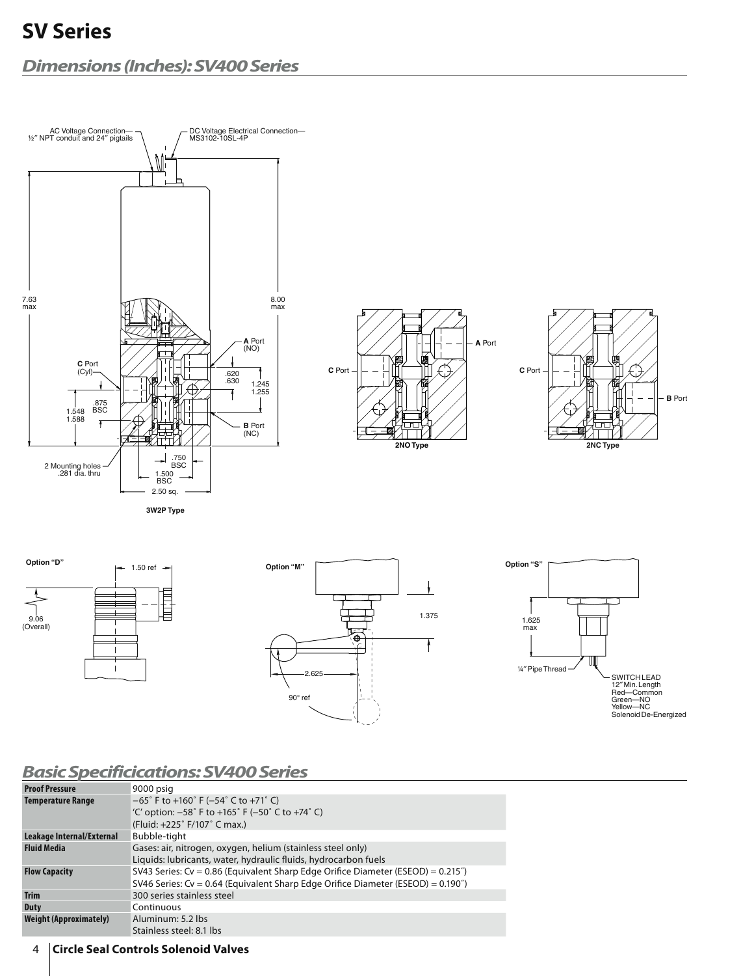### *Dimensions (Inches): SV400 Series*



| <b>Proof Pressure</b>               | 9000 psig                                                                                                                                                                     |
|-------------------------------------|-------------------------------------------------------------------------------------------------------------------------------------------------------------------------------|
| Temperature Range                   | $-65^{\circ}$ F to +160 $^{\circ}$ F (-54 $^{\circ}$ C to +71 $^{\circ}$ C)<br>'C' option: $-58^{\circ}$ F to $+165^{\circ}$ F ( $-50^{\circ}$ C to $+74^{\circ}$ C)          |
|                                     | (Fluid: +225° F/107° C max.)                                                                                                                                                  |
| Leakage Internal/External           | Bubble-tight                                                                                                                                                                  |
| <b>Fluid Media</b>                  | Gases: air, nitrogen, oxygen, helium (stainless steel only)<br>Liquids: lubricants, water, hydraulic fluids, hydrocarbon fuels                                                |
| <b>Flow Capacity</b>                | SV43 Series: $Cv = 0.86$ (Equivalent Sharp Edge Orifice Diameter (ESEOD) = $0.215$ ")<br>SV46 Series: $Cv = 0.64$ (Equivalent Sharp Edge Orifice Diameter (ESEOD) = $0.190$ ) |
| <b>Trim</b>                         | 300 series stainless steel                                                                                                                                                    |
| Duty                                | Continuous                                                                                                                                                                    |
| Weight (Approximately)              | Aluminum: 5.2 lbs<br>Stainless steel: 8.1 lbs                                                                                                                                 |
| فتحدد والمساحي والمستحدث والمسافيات |                                                                                                                                                                               |

4 **Circle Seal Controls Solenoid Valves**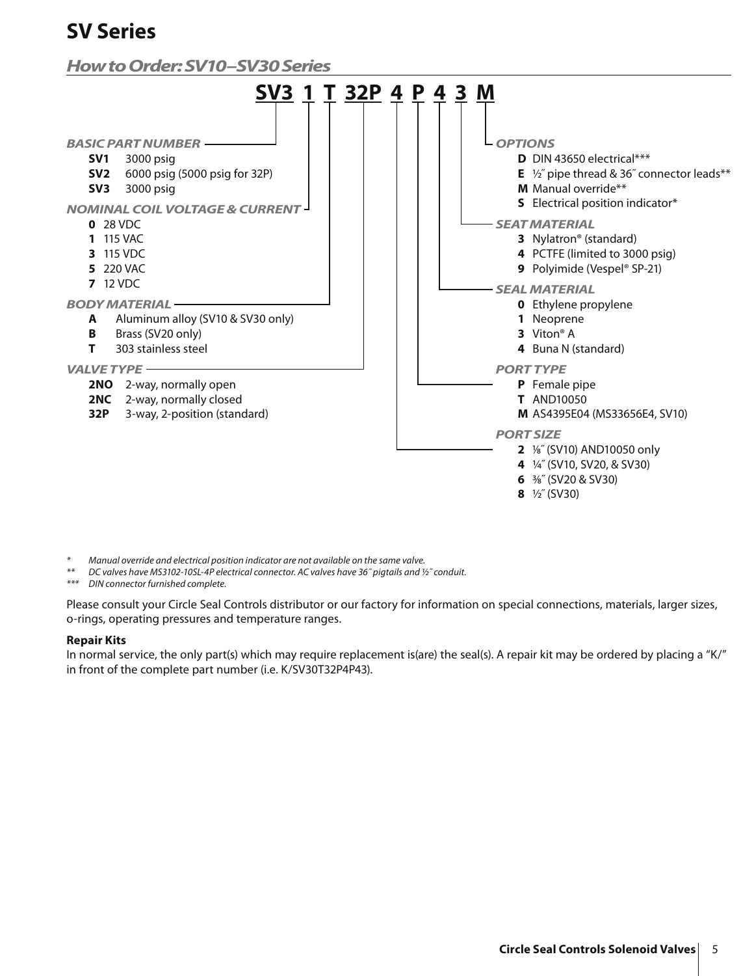### *How to Order: SV10–SV30 Series*



*\* Manual override and electrical position indicator are not available on the same valve.*

*\*\* DC valves have MS3102-10SL-4P electrical connector. AC valves have 36˝ pigtails and ½˝ conduit.*

*\*\*\* DIN connector furnished complete.*

Please consult your Circle Seal Controls distributor or our factory for information on special connections, materials, larger sizes, o-rings, operating pressures and temperature ranges.

#### **Repair Kits**

In normal service, the only part(s) which may require replacement is(are) the seal(s). A repair kit may be ordered by placing a "K/" in front of the complete part number (i.e. K/SV30T32P4P43).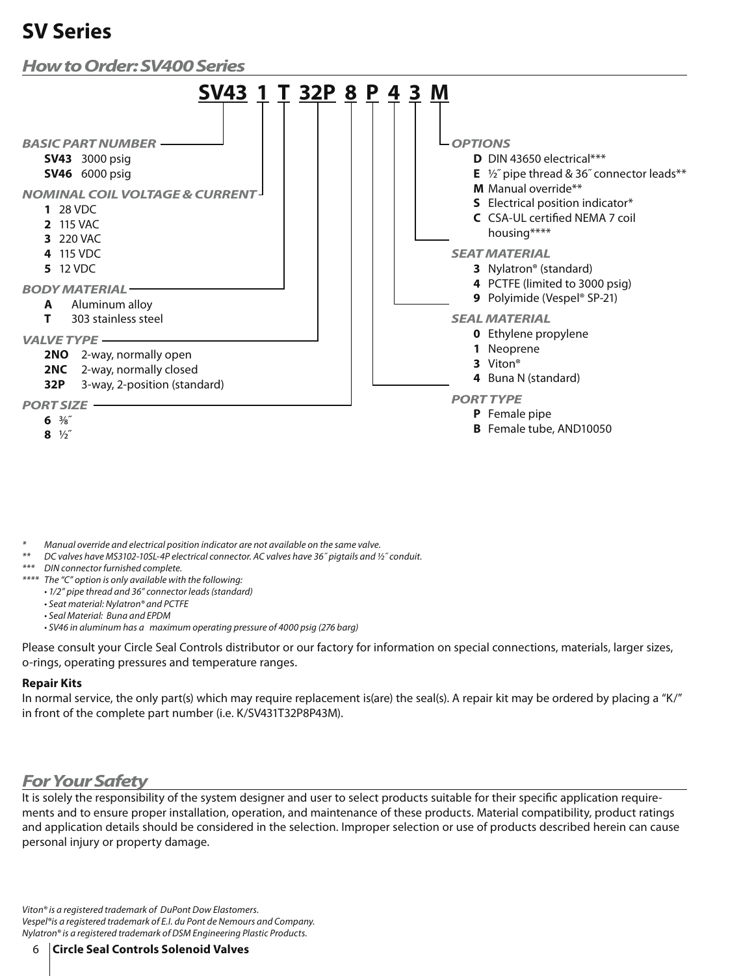

*\* Manual override and electrical position indicator are not available on the same valve.*

*\*\* DC valves have MS3102-10SL-4P electrical connector. AC valves have 36˝ pigtails and ½˝ conduit.*

*\*\*\* DIN connector furnished complete.*

*\*\*\*\* The "C" option is only available with the following:*

*• 1/2" pipe thread and 36" connector leads (standard)*

*• Seat material: Nylatron® and PCTFE*

*• Seal Material: Buna and EPDM*

*• SV46 in aluminum has a maximum operating pressure of 4000 psig (276 barg)*

Please consult your Circle Seal Controls distributor or our factory for information on special connections, materials, larger sizes, o-rings, operating pressures and temperature ranges.

#### **Repair Kits**

In normal service, the only part(s) which may require replacement is(are) the seal(s). A repair kit may be ordered by placing a "K/" in front of the complete part number (i.e. K/SV431T32P8P43M).

### *For Your Safety*

It is solely the responsibility of the system designer and user to select products suitable for their specific application requirements and to ensure proper installation, operation, and maintenance of these products. Material compatibility, product ratings and application details should be considered in the selection. Improper selection or use of products described herein can cause personal injury or property damage.

*Viton® is a registered trademark of DuPont Dow Elastomers. Vespel®is a registered trademark of E.I. du Pont de Nemours and Company. Nylatron® is a registered trademark of DSM Engineering Plastic Products.*

6 **Circle Seal Controls Solenoid Valves**